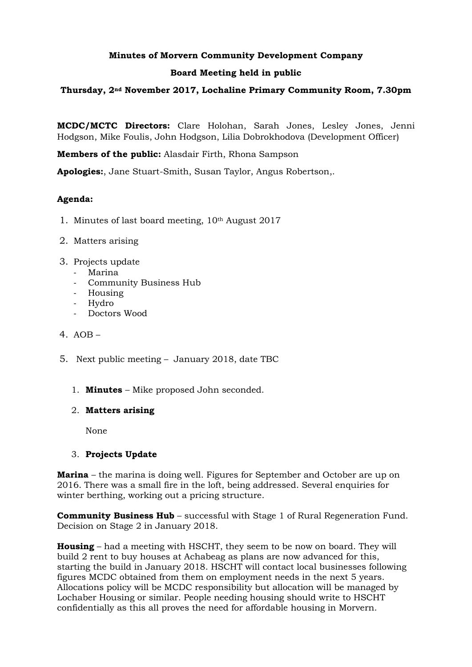# **Minutes of Morvern Community Development Company**

## **Board Meeting held in public**

## **Thursday, 2nd November 2017, Lochaline Primary Community Room, 7.30pm**

**MCDC/MCTC Directors:** Clare Holohan, Sarah Jones, Lesley Jones, Jenni Hodgson, Mike Foulis, John Hodgson, Lilia Dobrokhodova (Development Officer)

**Members of the public:** Alasdair Firth, Rhona Sampson

**Apologies:**, Jane Stuart-Smith, Susan Taylor, Angus Robertson,.

# **Agenda:**

- 1. Minutes of last board meeting, 10th August 2017
- 2. Matters arising
- 3. Projects update
	- Marina
	- Community Business Hub
	- Housing
	- Hydro
	- Doctors Wood
- 4. AOB –
- 5. Next public meeting January 2018, date TBC
	- 1. **Minutes** Mike proposed John seconded.

### 2. **Matters arising**

None

### 3. **Projects Update**

**Marina** – the marina is doing well. Figures for September and October are up on 2016. There was a small fire in the loft, being addressed. Several enquiries for winter berthing, working out a pricing structure.

**Community Business Hub** – successful with Stage 1 of Rural Regeneration Fund. Decision on Stage 2 in January 2018.

**Housing** – had a meeting with HSCHT, they seem to be now on board. They will build 2 rent to buy houses at Achabeag as plans are now advanced for this, starting the build in January 2018. HSCHT will contact local businesses following figures MCDC obtained from them on employment needs in the next 5 years. Allocations policy will be MCDC responsibility but allocation will be managed by Lochaber Housing or similar. People needing housing should write to HSCHT confidentially as this all proves the need for affordable housing in Morvern.